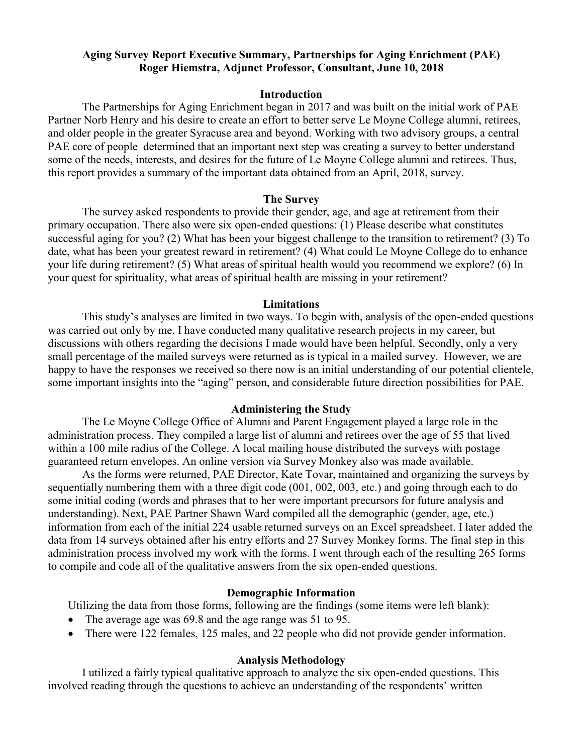# **Aging Survey Report Executive Summary, Partnerships for Aging Enrichment (PAE) Roger Hiemstra, Adjunct Professor, Consultant, June 10, 2018**

## **Introduction**

The Partnerships for Aging Enrichment began in 2017 and was built on the initial work of PAE Partner Norb Henry and his desire to create an effort to better serve Le Moyne College alumni, retirees, and older people in the greater Syracuse area and beyond. Working with two advisory groups, a central PAE core of people determined that an important next step was creating a survey to better understand some of the needs, interests, and desires for the future of Le Moyne College alumni and retirees. Thus, this report provides a summary of the important data obtained from an April, 2018, survey.

## **The Survey**

The survey asked respondents to provide their gender, age, and age at retirement from their primary occupation. There also were six open-ended questions: (1) Please describe what constitutes successful aging for you? (2) What has been your biggest challenge to the transition to retirement? (3) To date, what has been your greatest reward in retirement? (4) What could Le Moyne College do to enhance your life during retirement? (5) What areas of spiritual health would you recommend we explore? (6) In your quest for spirituality, what areas of spiritual health are missing in your retirement?

#### **Limitations**

This study's analyses are limited in two ways. To begin with, analysis of the open-ended questions was carried out only by me. I have conducted many qualitative research projects in my career, but discussions with others regarding the decisions I made would have been helpful. Secondly, only a very small percentage of the mailed surveys were returned as is typical in a mailed survey. However, we are happy to have the responses we received so there now is an initial understanding of our potential clientele, some important insights into the "aging" person, and considerable future direction possibilities for PAE.

#### **Administering the Study**

The Le Moyne College Office of Alumni and Parent Engagement played a large role in the administration process. They compiled a large list of alumni and retirees over the age of 55 that lived within a 100 mile radius of the College. A local mailing house distributed the surveys with postage guaranteed return envelopes. An online version via Survey Monkey also was made available.

As the forms were returned, PAE Director, Kate Tovar, maintained and organizing the surveys by sequentially numbering them with a three digit code (001, 002, 003, etc.) and going through each to do some initial coding (words and phrases that to her were important precursors for future analysis and understanding). Next, PAE Partner Shawn Ward compiled all the demographic (gender, age, etc.) information from each of the initial 224 usable returned surveys on an Excel spreadsheet. I later added the data from 14 surveys obtained after his entry efforts and 27 Survey Monkey forms. The final step in this administration process involved my work with the forms. I went through each of the resulting 265 forms to compile and code all of the qualitative answers from the six open-ended questions.

## **Demographic Information**

Utilizing the data from those forms, following are the findings (some items were left blank):

- The average age was 69.8 and the age range was 51 to 95.
- There were 122 females, 125 males, and 22 people who did not provide gender information.

## **Analysis Methodology**

I utilized a fairly typical qualitative approach to analyze the six open-ended questions. This involved reading through the questions to achieve an understanding of the respondents' written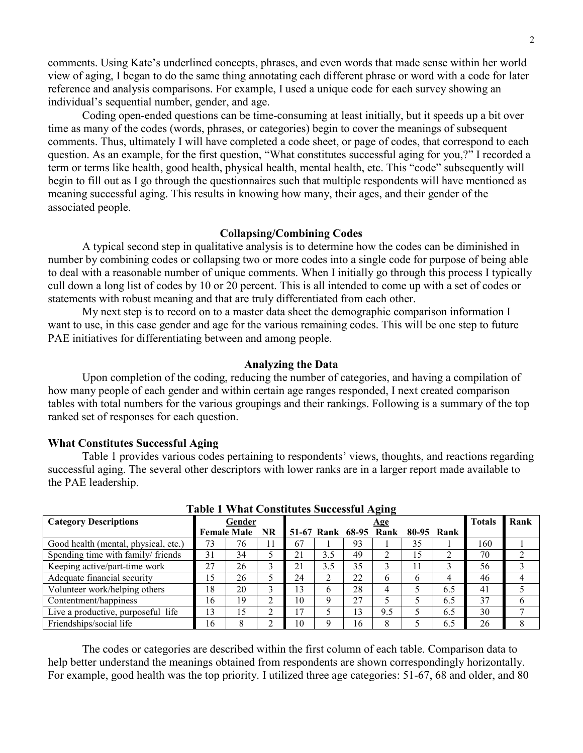comments. Using Kate's underlined concepts, phrases, and even words that made sense within her world view of aging, I began to do the same thing annotating each different phrase or word with a code for later reference and analysis comparisons. For example, I used a unique code for each survey showing an individual's sequential number, gender, and age.

Coding open-ended questions can be time-consuming at least initially, but it speeds up a bit over time as many of the codes (words, phrases, or categories) begin to cover the meanings of subsequent comments. Thus, ultimately I will have completed a code sheet, or page of codes, that correspond to each question. As an example, for the first question, "What constitutes successful aging for you,?" I recorded a term or terms like health, good health, physical health, mental health, etc. This "code" subsequently will begin to fill out as I go through the questionnaires such that multiple respondents will have mentioned as meaning successful aging. This results in knowing how many, their ages, and their gender of the associated people.

#### **Collapsing/Combining Codes**

A typical second step in qualitative analysis is to determine how the codes can be diminished in number by combining codes or collapsing two or more codes into a single code for purpose of being able to deal with a reasonable number of unique comments. When I initially go through this process I typically cull down a long list of codes by 10 or 20 percent. This is all intended to come up with a set of codes or statements with robust meaning and that are truly differentiated from each other.

My next step is to record on to a master data sheet the demographic comparison information I want to use, in this case gender and age for the various remaining codes. This will be one step to future PAE initiatives for differentiating between and among people.

### **Analyzing the Data**

Upon completion of the coding, reducing the number of categories, and having a compilation of how many people of each gender and within certain age ranges responded, I next created comparison tables with total numbers for the various groupings and their rankings. Following is a summary of the top ranked set of responses for each question.

#### **What Constitutes Successful Aging**

Table 1 provides various codes pertaining to respondents' views, thoughts, and reactions regarding successful aging. The several other descriptors with lower ranks are in a larger report made available to the PAE leadership.

| Table 1 What Constitutes Successiul Aging |    |                    |           |    |            |    |                       |            |     |     |      |
|-------------------------------------------|----|--------------------|-----------|----|------------|----|-----------------------|------------|-----|-----|------|
| <b>Category Descriptions</b>              |    | Gender             |           |    | <u>Age</u> |    |                       |            |     |     | Rank |
|                                           |    | <b>Female Male</b> | <b>NR</b> |    |            |    | 51-67 Rank 68-95 Rank | 80-95 Rank |     |     |      |
| Good health (mental, physical, etc.)      | 73 | 76                 | 11        | 67 |            | 93 |                       | 35         |     | 160 |      |
| Spending time with family/friends         | 31 | 34                 |           | 21 | 3.5        | 49 |                       | 15         |     | 70  |      |
| Keeping active/part-time work             | 27 | 26                 | 3         | 21 | 3.5        | 35 |                       |            |     | 56  |      |
| Adequate financial security               | 15 | 26                 |           | 24 |            | 22 | 6                     | 6          |     | 46  |      |
| Volunteer work/helping others             | 18 | 20                 | 3         | 13 |            | 28 | 4                     |            | 6.5 | 41  |      |
| Contentment/happiness                     | 16 | 19                 | $\gamma$  | 10 |            | 27 |                       |            | 6.5 | 37  |      |
| Live a productive, purposeful life        | 13 | 15                 | ↑         | 17 |            | 13 | 9.5                   |            | 6.5 | 30  |      |
| Friendships/social life                   | 16 |                    | ◠         | 10 |            | 16 | 8                     |            | 6.5 | 26  |      |

**Table 1 What Constitutes Successful Aging**

The codes or categories are described within the first column of each table. Comparison data to help better understand the meanings obtained from respondents are shown correspondingly horizontally. For example, good health was the top priority. I utilized three age categories: 51-67, 68 and older, and 80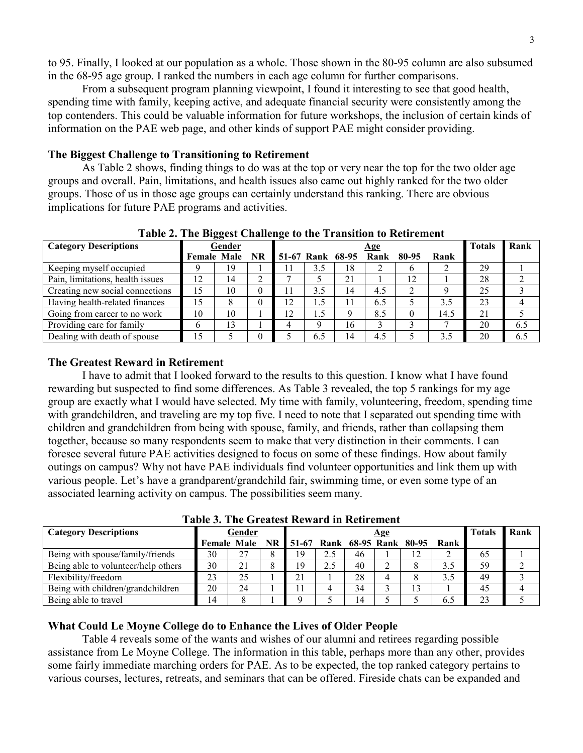to 95. Finally, I looked at our population as a whole. Those shown in the 80-95 column are also subsumed in the 68-95 age group. I ranked the numbers in each age column for further comparisons.

From a subsequent program planning viewpoint, I found it interesting to see that good health, spending time with family, keeping active, and adequate financial security were consistently among the top contenders. This could be valuable information for future workshops, the inclusion of certain kinds of information on the PAE web page, and other kinds of support PAE might consider providing.

## **The Biggest Challenge to Transitioning to Retirement**

As Table 2 shows, finding things to do was at the top or very near the top for the two older age groups and overall. Pain, limitations, and health issues also came out highly ranked for the two older groups. Those of us in those age groups can certainly understand this ranking. There are obvious implications for future PAE programs and activities.

| $\frac{1}{2}$ and $\frac{1}{2}$ and $\frac{1}{2}$ and $\frac{1}{2}$ and $\frac{1}{2}$ are $\frac{1}{2}$ and $\frac{1}{2}$ and $\frac{1}{2}$ are $\frac{1}{2}$ and $\frac{1}{2}$ are $\frac{1}{2}$ and $\frac{1}{2}$ are $\frac{1}{2}$ and $\frac{1}{2}$ are $\frac{1}{2}$ and $\frac{1}{2}$ a |    |                |   |                             |     |    |     |    |      |               |      |
|-----------------------------------------------------------------------------------------------------------------------------------------------------------------------------------------------------------------------------------------------------------------------------------------------|----|----------------|---|-----------------------------|-----|----|-----|----|------|---------------|------|
| <b>Category Descriptions</b>                                                                                                                                                                                                                                                                  |    | Gender         |   | <u>Age</u>                  |     |    |     |    |      | <b>Totals</b> | Rank |
|                                                                                                                                                                                                                                                                                               |    | Female Male NR |   | 51-67 Rank 68-95 Rank 80-95 |     |    |     |    | Rank |               |      |
| Keeping myself occupied                                                                                                                                                                                                                                                                       |    | 19             |   |                             | 3.5 | 18 |     |    |      | 29            |      |
| Pain, limitations, health issues                                                                                                                                                                                                                                                              | 12 | 14             |   |                             |     | 21 |     | 12 |      | 28            |      |
| Creating new social connections                                                                                                                                                                                                                                                               | 15 | 10             |   |                             | 3.5 | 14 | 4.5 |    |      | 25            |      |
| Having health-related finances                                                                                                                                                                                                                                                                | 15 |                | 0 | 12                          | 1.5 | 11 | 6.5 |    | 3.5  | 23            |      |
| Going from career to no work                                                                                                                                                                                                                                                                  | 10 | 10             |   | $\overline{2}$              | 1.5 |    | 8.5 |    | 14.5 | 21            |      |
| Providing care for family                                                                                                                                                                                                                                                                     |    | 13             |   |                             |     | 16 |     |    |      | 20            | 6.5  |
| Dealing with death of spouse                                                                                                                                                                                                                                                                  | 15 |                |   |                             | 6.5 | 14 | 4.5 |    | 3.5  | 20            | 6.5  |

**Table 2. The Biggest Challenge to the Transition to Retirement**

# **The Greatest Reward in Retirement**

I have to admit that I looked forward to the results to this question. I know what I have found rewarding but suspected to find some differences. As Table 3 revealed, the top 5 rankings for my age group are exactly what I would have selected. My time with family, volunteering, freedom, spending time with grandchildren, and traveling are my top five. I need to note that I separated out spending time with children and grandchildren from being with spouse, family, and friends, rather than collapsing them together, because so many respondents seem to make that very distinction in their comments. I can foresee several future PAE activities designed to focus on some of these findings. How about family outings on campus? Why not have PAE individuals find volunteer opportunities and link them up with various people. Let's have a grandparent/grandchild fair, swimming time, or even some type of an associated learning activity on campus. The possibilities seem many.

| <b>Category Descriptions</b>        | Gender |    |  | <u>Age</u> |  |    |  |                                                 |     | <b>Totals</b> | Rank |
|-------------------------------------|--------|----|--|------------|--|----|--|-------------------------------------------------|-----|---------------|------|
|                                     |        |    |  |            |  |    |  | Female Male NR 51-67 Rank 68-95 Rank 80-95 Rank |     |               |      |
| Being with spouse/family/friends    | 30     | 27 |  | 19         |  | 46 |  |                                                 |     | 65            |      |
| Being able to volunteer/help others | 30     |    |  | 19         |  | 40 |  |                                                 | 3.5 | 59            |      |
| Flexibility/freedom                 | 23     | 25 |  | 21         |  | 28 |  |                                                 |     | 49            |      |
| Being with children/grandchildren   | 20     | 24 |  |            |  | 34 |  |                                                 |     | 45            |      |
| Being able to travel                | 14     |    |  |            |  | 14 |  |                                                 |     | 23            |      |

**Table 3. The Greatest Reward in Retirement**

# **What Could Le Moyne College do to Enhance the Lives of Older People**

Table 4 reveals some of the wants and wishes of our alumni and retirees regarding possible assistance from Le Moyne College. The information in this table, perhaps more than any other, provides some fairly immediate marching orders for PAE. As to be expected, the top ranked category pertains to various courses, lectures, retreats, and seminars that can be offered. Fireside chats can be expanded and